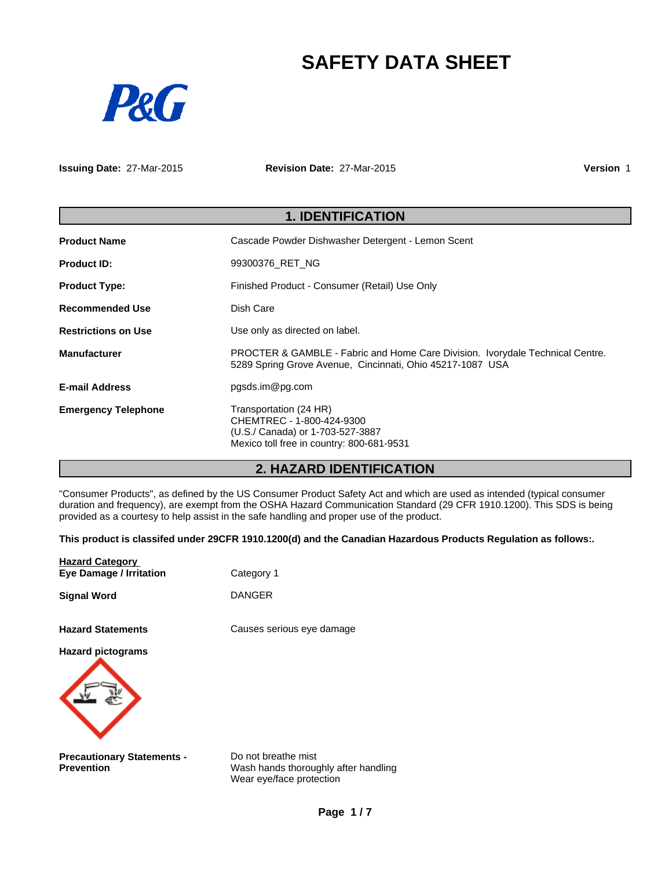# **SAFETY DATA SHEET**



**Issuing Date:** 27-Mar-2015

**Revision Date:** 27-Mar-2015

**Version** 1

| <b>1. IDENTIFICATION</b>   |                                                                                                                                            |  |
|----------------------------|--------------------------------------------------------------------------------------------------------------------------------------------|--|
| <b>Product Name</b>        | Cascade Powder Dishwasher Detergent - Lemon Scent                                                                                          |  |
| <b>Product ID:</b>         | 99300376 RET NG                                                                                                                            |  |
| <b>Product Type:</b>       | Finished Product - Consumer (Retail) Use Only                                                                                              |  |
| <b>Recommended Use</b>     | Dish Care                                                                                                                                  |  |
| <b>Restrictions on Use</b> | Use only as directed on label.                                                                                                             |  |
| <b>Manufacturer</b>        | PROCTER & GAMBLE - Fabric and Home Care Division. Ivorydale Technical Centre.<br>5289 Spring Grove Avenue, Cincinnati, Ohio 45217-1087 USA |  |
| <b>E-mail Address</b>      | pgsds.im@pg.com                                                                                                                            |  |
| <b>Emergency Telephone</b> | Transportation (24 HR)<br>CHEMTREC - 1-800-424-9300<br>(U.S./ Canada) or 1-703-527-3887<br>Mexico toll free in country: 800-681-9531       |  |

# **2. HAZARD IDENTIFICATION**

"Consumer Products", as defined by the US Consumer Product Safety Act and which are used as intended (typical consumer duration and frequency), are exempt from the OSHA Hazard Communication Standard (29 CFR 1910.1200). This SDS is being provided as a courtesy to help assist in the safe handling and proper use of the product.

**This product is classifed under 29CFR 1910.1200(d) and the Canadian Hazardous Products Regulation as follows:.**

| <b>Hazard Category</b><br><b>Eye Damage / Irritation</b> | Category 1                                                                              |
|----------------------------------------------------------|-----------------------------------------------------------------------------------------|
| <b>Signal Word</b>                                       | <b>DANGER</b>                                                                           |
| <b>Hazard Statements</b>                                 | Causes serious eye damage                                                               |
| <b>Hazard pictograms</b>                                 |                                                                                         |
| <b>Precautionary Statements -</b><br><b>Prevention</b>   | Do not breathe mist<br>Wash hands thoroughly after handling<br>Wear eye/face protection |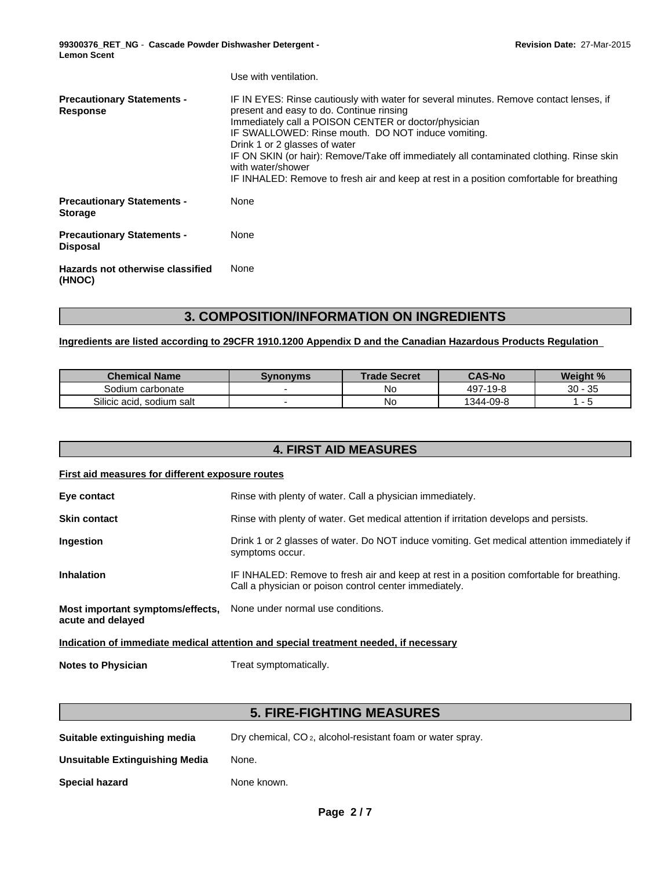**99300376\_RET\_NG** - **Cascade Powder Dishwasher Detergent - Lemon Scent**

|                                                      | Use with ventilation.                                                                                                                                                                                                                                                                                                                                                                                                                                                                         |
|------------------------------------------------------|-----------------------------------------------------------------------------------------------------------------------------------------------------------------------------------------------------------------------------------------------------------------------------------------------------------------------------------------------------------------------------------------------------------------------------------------------------------------------------------------------|
| <b>Precautionary Statements -</b><br>Response        | IF IN EYES: Rinse cautiously with water for several minutes. Remove contact lenses, if<br>present and easy to do. Continue rinsing<br>Immediately call a POISON CENTER or doctor/physician<br>IF SWALLOWED: Rinse mouth. DO NOT induce vomiting.<br>Drink 1 or 2 glasses of water<br>IF ON SKIN (or hair): Remove/Take off immediately all contaminated clothing. Rinse skin<br>with water/shower<br>IF INHALED: Remove to fresh air and keep at rest in a position comfortable for breathing |
| <b>Precautionary Statements -</b><br><b>Storage</b>  | None                                                                                                                                                                                                                                                                                                                                                                                                                                                                                          |
| <b>Precautionary Statements -</b><br><b>Disposal</b> | None                                                                                                                                                                                                                                                                                                                                                                                                                                                                                          |
| Hazards not otherwise classified<br>(HNOC)           | None                                                                                                                                                                                                                                                                                                                                                                                                                                                                                          |

# **3. COMPOSITION/INFORMATION ON INGREDIENTS**

### **Ingredients are listed according to 29CFR 1910.1200 Appendix D and the Canadian Hazardous Products Regulation**

| <b>Chemical Name</b>           | Svnonvms | <b>Trade Secret</b> | <b>CAS-No</b> | Weight %                |
|--------------------------------|----------|---------------------|---------------|-------------------------|
| Sodium carbonate               |          | No                  | 497-19-8      | $\sim$<br>$30 -$<br>ັບປ |
| Silicic acid.<br>, sodium salt |          | No                  | 1344-09-8     |                         |

# **4. FIRST AID MEASURES**

### **First aid measures for different exposure routes**

| Eye contact                                                                          | Rinse with plenty of water. Call a physician immediately.                                                                                           |  |
|--------------------------------------------------------------------------------------|-----------------------------------------------------------------------------------------------------------------------------------------------------|--|
| <b>Skin contact</b>                                                                  | Rinse with plenty of water. Get medical attention if irritation develops and persists.                                                              |  |
| Ingestion                                                                            | Drink 1 or 2 glasses of water. Do NOT induce vomiting. Get medical attention immediately if<br>symptoms occur.                                      |  |
| <b>Inhalation</b>                                                                    | IF INHALED: Remove to fresh air and keep at rest in a position comfortable for breathing.<br>Call a physician or poison control center immediately. |  |
| Most important symptoms/effects,<br>acute and delayed                                | None under normal use conditions.                                                                                                                   |  |
| Indication of immediate medical attention and special treatment needed, if necessary |                                                                                                                                                     |  |

**Notes to Physician** Treat symptomatically.

# **5. FIRE-FIGHTING MEASURES**

| Dry chemical, CO <sub>2</sub> , alcohol-resistant foam or water spray.<br>Suitable extinguishing media |  |
|--------------------------------------------------------------------------------------------------------|--|
|--------------------------------------------------------------------------------------------------------|--|

**Unsuitable Extinguishing Media** None.

**Special hazard** None known.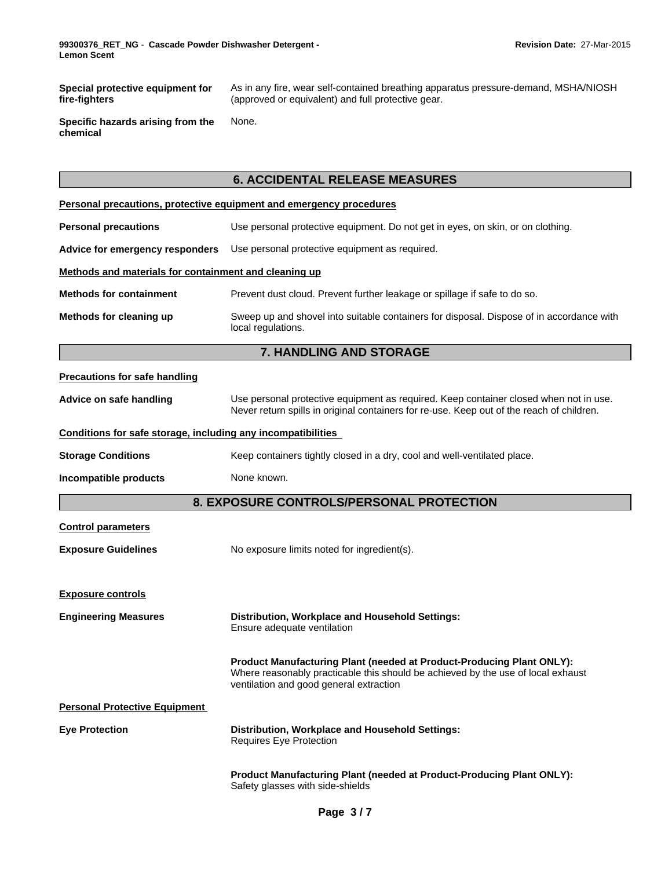**Special protective equipment for fire-fighters**

As in any fire, wear self-contained breathing apparatus pressure-demand, MSHA/NIOSH (approved or equivalent) and full protective gear.

**Specific hazards arising from the chemical** None.

# **6. ACCIDENTAL RELEASE MEASURES**

|                                                              | Personal precautions, protective equipment and emergency procedures                                                                                                                                  |  |  |
|--------------------------------------------------------------|------------------------------------------------------------------------------------------------------------------------------------------------------------------------------------------------------|--|--|
| <b>Personal precautions</b>                                  | Use personal protective equipment. Do not get in eyes, on skin, or on clothing.                                                                                                                      |  |  |
| Advice for emergency responders                              | Use personal protective equipment as required.                                                                                                                                                       |  |  |
| Methods and materials for containment and cleaning up        |                                                                                                                                                                                                      |  |  |
| <b>Methods for containment</b>                               | Prevent dust cloud. Prevent further leakage or spillage if safe to do so.                                                                                                                            |  |  |
| Methods for cleaning up                                      | Sweep up and shovel into suitable containers for disposal. Dispose of in accordance with<br>local regulations.                                                                                       |  |  |
|                                                              | <b>7. HANDLING AND STORAGE</b>                                                                                                                                                                       |  |  |
| <b>Precautions for safe handling</b>                         |                                                                                                                                                                                                      |  |  |
| Advice on safe handling                                      | Use personal protective equipment as required. Keep container closed when not in use.<br>Never return spills in original containers for re-use. Keep out of the reach of children.                   |  |  |
| Conditions for safe storage, including any incompatibilities |                                                                                                                                                                                                      |  |  |
| <b>Storage Conditions</b>                                    | Keep containers tightly closed in a dry, cool and well-ventilated place.                                                                                                                             |  |  |
| Incompatible products                                        | None known.                                                                                                                                                                                          |  |  |
|                                                              | <b>8. EXPOSURE CONTROLS/PERSONAL PROTECTION</b>                                                                                                                                                      |  |  |
| <b>Control parameters</b>                                    |                                                                                                                                                                                                      |  |  |
| <b>Exposure Guidelines</b>                                   | No exposure limits noted for ingredient(s).                                                                                                                                                          |  |  |
|                                                              |                                                                                                                                                                                                      |  |  |
|                                                              |                                                                                                                                                                                                      |  |  |
| <b>Exposure controls</b>                                     |                                                                                                                                                                                                      |  |  |
| <b>Engineering Measures</b>                                  | <b>Distribution, Workplace and Household Settings:</b><br>Ensure adequate ventilation                                                                                                                |  |  |
|                                                              | Product Manufacturing Plant (needed at Product-Producing Plant ONLY):<br>Where reasonably practicable this should be achieved by the use of local exhaust<br>ventilation and good general extraction |  |  |
| <b>Personal Protective Equipment</b>                         |                                                                                                                                                                                                      |  |  |
| <b>Eye Protection</b>                                        | Distribution, Workplace and Household Settings:<br>Requires Eye Protection                                                                                                                           |  |  |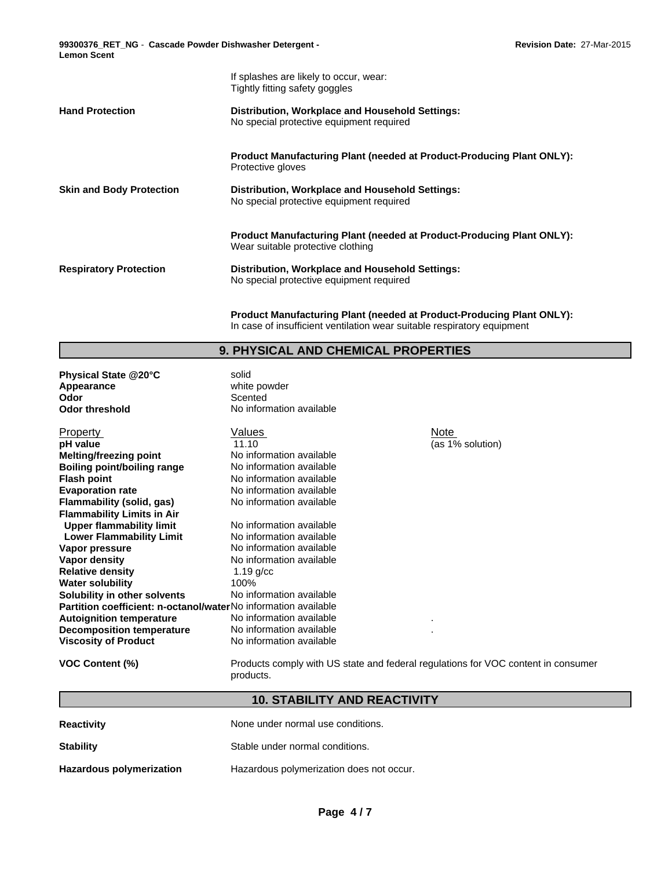If splashes are likely to occur, wear: **99300376\_RET\_NG** - **Cascade Powder Dishwasher Detergent - Lemon Scent**

|                                 | Tightly fitting safety goggles                                                                                    |
|---------------------------------|-------------------------------------------------------------------------------------------------------------------|
| <b>Hand Protection</b>          | Distribution, Workplace and Household Settings:<br>No special protective equipment required                       |
|                                 | <b>Product Manufacturing Plant (needed at Product-Producing Plant ONLY):</b><br>Protective gloves                 |
| <b>Skin and Body Protection</b> | Distribution, Workplace and Household Settings:<br>No special protective equipment required                       |
|                                 | <b>Product Manufacturing Plant (needed at Product-Producing Plant ONLY):</b><br>Wear suitable protective clothing |
| <b>Respiratory Protection</b>   | Distribution, Workplace and Household Settings:<br>No special protective equipment required                       |

**Product Manufacturing Plant (needed at Product-Producing Plant ONLY):** In case of insufficient ventilation wear suitable respiratory equipment

# **9. PHYSICAL AND CHEMICAL PROPERTIES**

| Physical State @20°C                                                  | solid                    |              |
|-----------------------------------------------------------------------|--------------------------|--------------|
| Appearance                                                            | white powder             |              |
| Odor                                                                  | Scented                  |              |
| <b>Odor threshold</b>                                                 | No information available |              |
| <b>Property</b>                                                       | Values                   | Note         |
| pH value                                                              | 11.10                    | (as 1% solut |
| Melting/freezing point                                                | No information available |              |
| <b>Boiling point/boiling range</b>                                    | No information available |              |
| <b>Flash point</b>                                                    | No information available |              |
| <b>Evaporation rate</b>                                               | No information available |              |
| Flammability (solid, gas)                                             | No information available |              |
| <b>Flammability Limits in Air</b>                                     |                          |              |
| <b>Upper flammability limit</b>                                       | No information available |              |
| <b>Lower Flammability Limit</b>                                       | No information available |              |
| Vapor pressure                                                        | No information available |              |
| Vapor density                                                         | No information available |              |
| <b>Relative density</b>                                               | $1.19$ g/cc              |              |
| <b>Water solubility</b>                                               | 100%                     |              |
| Solubility in other solvents                                          | No information available |              |
| <b>Partition coefficient: n-octanol/waterNo information available</b> |                          |              |
| <b>Autoignition temperature</b>                                       | No information available | ٠            |
| <b>Decomposition temperature</b>                                      | No information available |              |
| <b>Viscosity of Product</b>                                           | No information available |              |

Note (as 1% solution)

| VOC Content (%) |  |  |  |
|-----------------|--|--|--|
|-----------------|--|--|--|

**VOC Content (%)** Products comply with US state and federal regulations for VOC content in consumer products.

# **10. STABILITY AND REACTIVITY**

| <b>Reactivity</b>        | None under normal use conditions.        |
|--------------------------|------------------------------------------|
| <b>Stability</b>         | Stable under normal conditions.          |
| Hazardous polymerization | Hazardous polymerization does not occur. |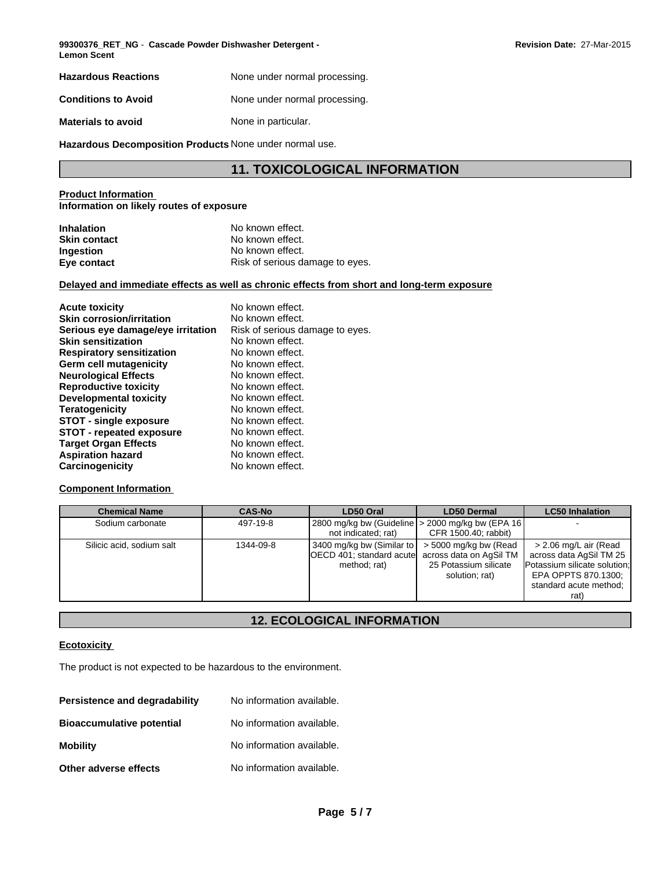**99300376\_RET\_NG** - **Cascade Powder Dishwasher Detergent - Revision Date:** 27-Mar-2015 **Lemon Scent**

| <b>Hazardous Reactions</b> | None under normal processing. |
|----------------------------|-------------------------------|
| <b>Conditions to Avoid</b> | None under normal processing. |
| <b>Materials to avoid</b>  | None in particular.           |

**Hazardous Decomposition Products** None under normal use.

# **11. TOXICOLOGICAL INFORMATION**

#### **Product Information Information on likely routes of exposure**

| <b>Inhalation</b>   | No known effect.                |
|---------------------|---------------------------------|
| <b>Skin contact</b> | No known effect.                |
| <b>Ingestion</b>    | No known effect.                |
| Eye contact         | Risk of serious damage to eyes. |

### **Delayed and immediate effects as well as chronic effects from short and long-term exposure**

| <b>Acute toxicity</b>             | No known effect.                |
|-----------------------------------|---------------------------------|
| <b>Skin corrosion/irritation</b>  | No known effect.                |
| Serious eye damage/eye irritation | Risk of serious damage to eyes. |
| <b>Skin sensitization</b>         | No known effect.                |
| <b>Respiratory sensitization</b>  | No known effect.                |
| Germ cell mutagenicity            | No known effect.                |
| <b>Neurological Effects</b>       | No known effect.                |
| <b>Reproductive toxicity</b>      | No known effect.                |
| Developmental toxicity            | No known effect.                |
| <b>Teratogenicity</b>             | No known effect.                |
| <b>STOT - single exposure</b>     | No known effect.                |
| <b>STOT - repeated exposure</b>   | No known effect.                |
| <b>Target Organ Effects</b>       | No known effect.                |
| <b>Aspiration hazard</b>          | No known effect.                |
| Carcinogenicity                   | No known effect.                |

#### **Component Information**

| <b>Chemical Name</b>      | <b>CAS-No</b> | LD50 Oral                                                                                      | <b>LD50 Dermal</b>                                                          | <b>LC50 Inhalation</b>                                                                                                                    |
|---------------------------|---------------|------------------------------------------------------------------------------------------------|-----------------------------------------------------------------------------|-------------------------------------------------------------------------------------------------------------------------------------------|
| Sodium carbonate          | 497-19-8      | not indicated; rat)                                                                            | 2800 mg/kg bw (Guideline   > 2000 mg/kg bw (EPA 16)<br>CFR 1500.40; rabbit) |                                                                                                                                           |
| Silicic acid, sodium salt | 1344-09-8     | 3400 mg/kg bw (Similar to<br>OECD 401; standard acutel across data on AgSil TM<br>method; rat) | > 5000 mg/kg bw (Read<br>25 Potassium silicate<br>solution; rat)            | > 2.06 mg/L air (Read<br>across data AgSil TM 25<br>Potassium silicate solution:<br>EPA OPPTS 870.1300;<br>standard acute method;<br>rat) |

# **12. ECOLOGICAL INFORMATION**

### **Ecotoxicity**

The product is not expected to be hazardous to the environment.

| Persistence and degradability    | No information available. |
|----------------------------------|---------------------------|
| <b>Bioaccumulative potential</b> | No information available. |
| <b>Mobility</b>                  | No information available. |
| Other adverse effects            | No information available. |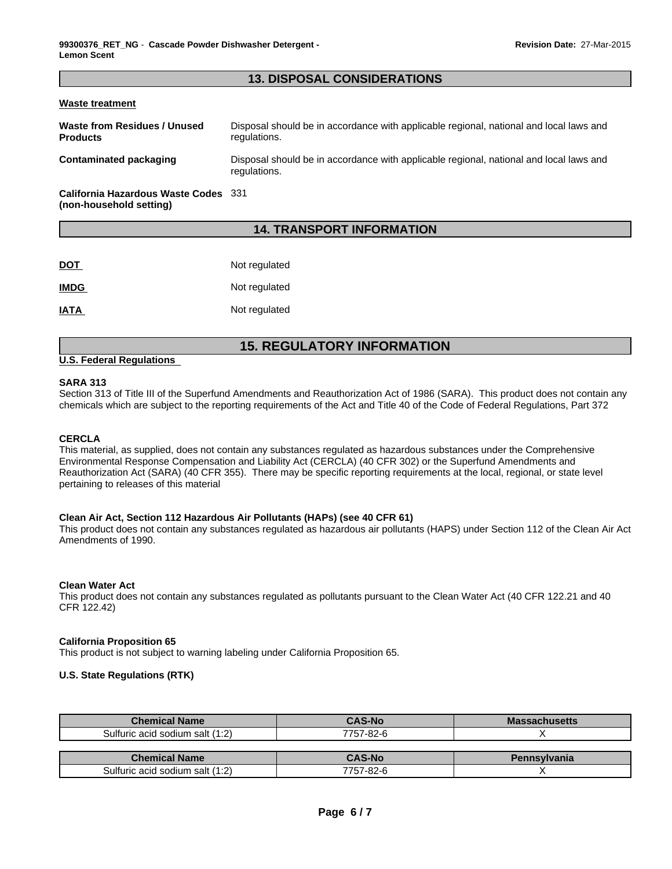### **13. DISPOSAL CONSIDERATIONS**

#### **Waste treatment**

| Waste from Residues / Unused<br><b>Products</b> | Disposal should be in accordance with applicable regional, national and local laws and<br>regulations. |
|-------------------------------------------------|--------------------------------------------------------------------------------------------------------|
| Contaminated packaging                          | Disposal should be in accordance with applicable regional, national and local laws and<br>regulations. |
| California Hazardous Waste Codes 331            |                                                                                                        |

**(non-household setting)**

## **14. TRANSPORT INFORMATION**

| <b>DOT</b>  | Not regulated |
|-------------|---------------|
| <b>IMDG</b> | Not regulated |
| <b>IATA</b> | Not regulated |

# **15. REGULATORY INFORMATION**

#### **U.S. Federal Regulations**

#### **SARA 313**

Section 313 of Title III of the Superfund Amendments and Reauthorization Act of 1986 (SARA). This product does not contain any chemicals which are subject to the reporting requirements of the Act and Title 40 of the Code of Federal Regulations, Part 372

#### **CERCLA**

This material, as supplied, does not contain any substances regulated as hazardous substances under the Comprehensive Environmental Response Compensation and Liability Act (CERCLA) (40 CFR 302) or the Superfund Amendments and Reauthorization Act (SARA) (40 CFR 355). There may be specific reporting requirements at the local, regional, or state level pertaining to releases of this material

#### **Clean Air Act, Section 112 Hazardous Air Pollutants (HAPs) (see 40 CFR 61)**

This product does not contain any substances regulated as hazardous air pollutants (HAPS) under Section 112 of the Clean Air Act Amendments of 1990.

#### **Clean Water Act**

This product does not contain any substances regulated as pollutants pursuant to the Clean Water Act (40 CFR 122.21 and 40 CFR 122.42)

#### **California Proposition 65**

This product is not subject to warning labeling under California Proposition 65.

#### **U.S. State Regulations (RTK)**

| <b>Chemical Name</b>            | <b>CAS-No</b> | <b>Massachusetts</b> |
|---------------------------------|---------------|----------------------|
| Sulfuric acid sodium salt (1:2) | 7757-82-6     |                      |
|                                 |               |                      |
|                                 |               |                      |
| <b>Chemical Name</b>            | <b>CAS-No</b> | Pennsylvania         |